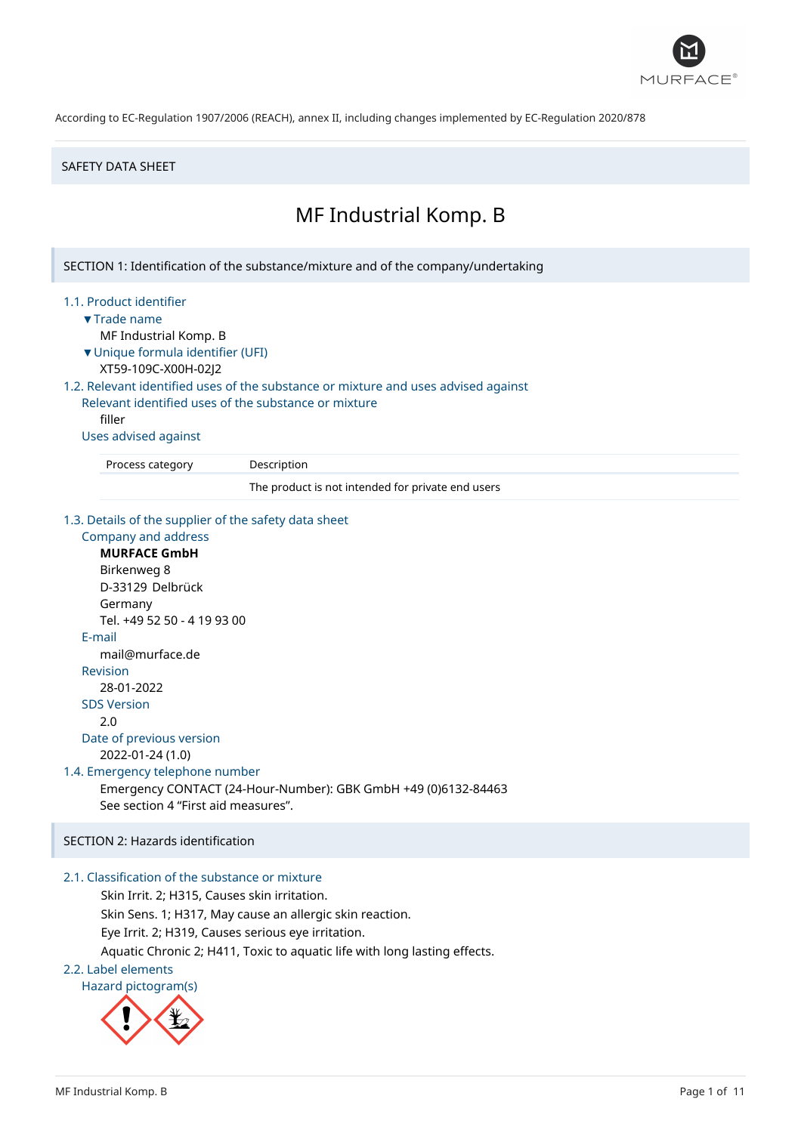

#### SAFETY DATA SHEET

# MF Industrial Komp. B

SECTION 1: Identification of the substance/mixture and of the company/undertaking

#### 1.1. Product identifier

- ▼Trade name
	- MF Industrial Komp. B
- ▼Unique formula identifier (UFI)
- XT59-109C-X00H-02J2

### 1.2. Relevant identified uses of the substance or mixture and uses advised against

Relevant identified uses of the substance or mixture filler

#### Uses advised against

Process category Description

The product is not intended for private end users

#### 1.3. Details of the supplier of the safety data sheet

Company and address **MURFACE GmbH** Birkenweg 8 D-33129 Delbrück Germany Tel. +49 52 50 - 4 19 93 00 E-mail mail@murface.de Revision 28-01-2022 SDS Version 2.0 Date of previous version 2022-01-24 (1.0) 1.4. Emergency telephone number Emergency CONTACT (24-Hour-Number): GBK GmbH +49 (0)6132-84463 See section 4 "First aid measures".

### SECTION 2: Hazards identification

# 2.1. Classification of the substance or mixture

Skin Irrit. 2; H315, Causes skin irritation.

Skin Sens. 1; H317, May cause an allergic skin reaction.

Eye Irrit. 2; H319, Causes serious eye irritation.

Aquatic Chronic 2; H411, Toxic to aquatic life with long lasting effects.

# 2.2. Label elements



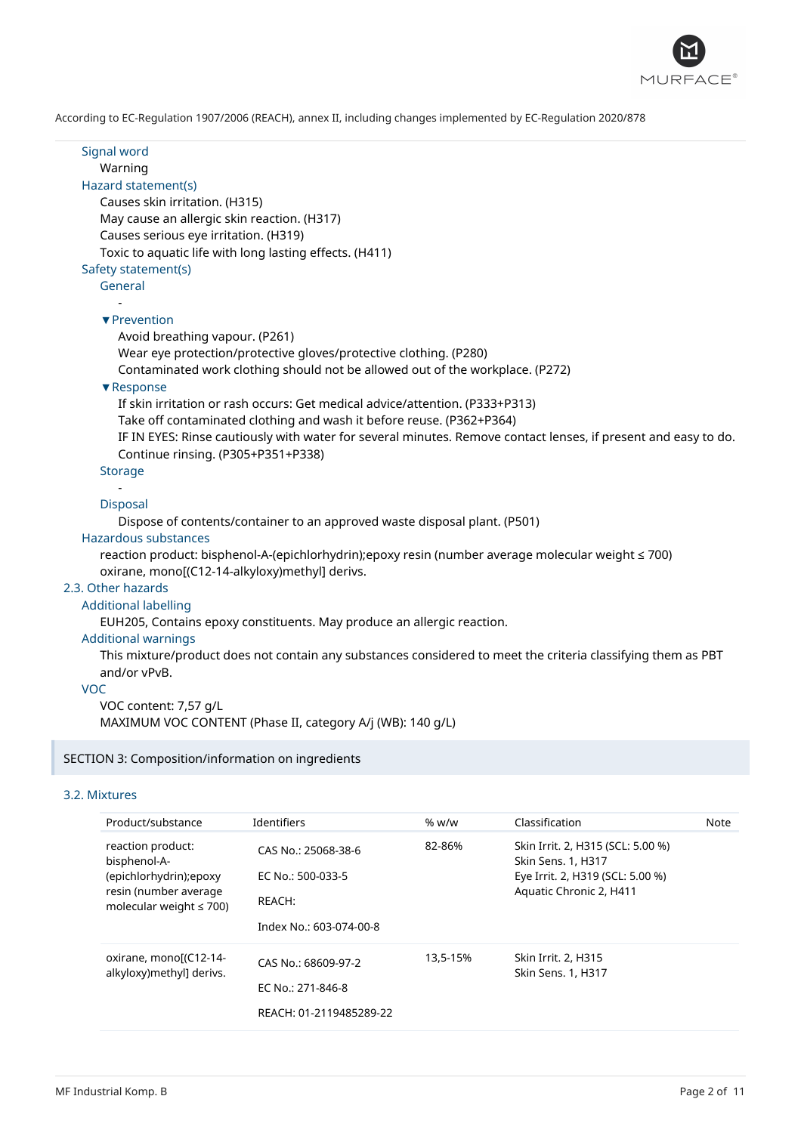

Signal word Warning Hazard statement(s) Causes skin irritation. (H315) May cause an allergic skin reaction. (H317) Causes serious eye irritation. (H319) Toxic to aquatic life with long lasting effects. (H411) Safety statement(s) General - ▼Prevention Avoid breathing vapour. (P261) Wear eye protection/protective gloves/protective clothing. (P280) Contaminated work clothing should not be allowed out of the workplace. (P272) ▼Response If skin irritation or rash occurs: Get medical advice/attention. (P333+P313) Take off contaminated clothing and wash it before reuse. (P362+P364) IF IN EYES: Rinse cautiously with water for several minutes. Remove contact lenses, if present and easy to do. Continue rinsing. (P305+P351+P338) **Storage** - Disposal Dispose of contents/container to an approved waste disposal plant. (P501) Hazardous substances reaction product: bisphenol-A-(epichlorhydrin);epoxy resin (number average molecular weight ≤ 700) oxirane, mono[(C12-14-alkyloxy)methyl] derivs. 2.3. Other hazards Additional labelling EUH205, Contains epoxy constituents. May produce an allergic reaction. Additional warnings This mixture/product does not contain any substances considered to meet the criteria classifying them as PBT and/or vPvB. VOC VOC content: 7,57 g/L MAXIMUM VOC CONTENT (Phase II, category A/j (WB): 140 g/L)

### SECTION 3: Composition/information on ingredients

### 3.2. Mixtures

| Product/substance                                                                 | Identifiers             | % w/w    | Classification                                          | Note |
|-----------------------------------------------------------------------------------|-------------------------|----------|---------------------------------------------------------|------|
| reaction product:<br>bisphenol-A-                                                 | CAS No.: 25068-38-6     | 82-86%   | Skin Irrit. 2, H315 (SCL: 5.00 %)<br>Skin Sens. 1, H317 |      |
| (epichlorhydrin); epoxy<br>resin (number average<br>molecular weight $\leq 700$ ) | EC No.: 500-033-5       |          | Eye Irrit. 2, H319 (SCL: 5.00 %)                        |      |
|                                                                                   | REACH:                  |          | Aquatic Chronic 2, H411                                 |      |
|                                                                                   | Index No.: 603-074-00-8 |          |                                                         |      |
| oxirane, monol(C12-14-                                                            | CAS No.: 68609-97-2     | 13,5-15% | Skin Irrit. 2, H315                                     |      |
| alkyloxy)methyl] derivs.                                                          | EC No.: 271-846-8       |          | Skin Sens. 1, H317                                      |      |
|                                                                                   | REACH: 01-2119485289-22 |          |                                                         |      |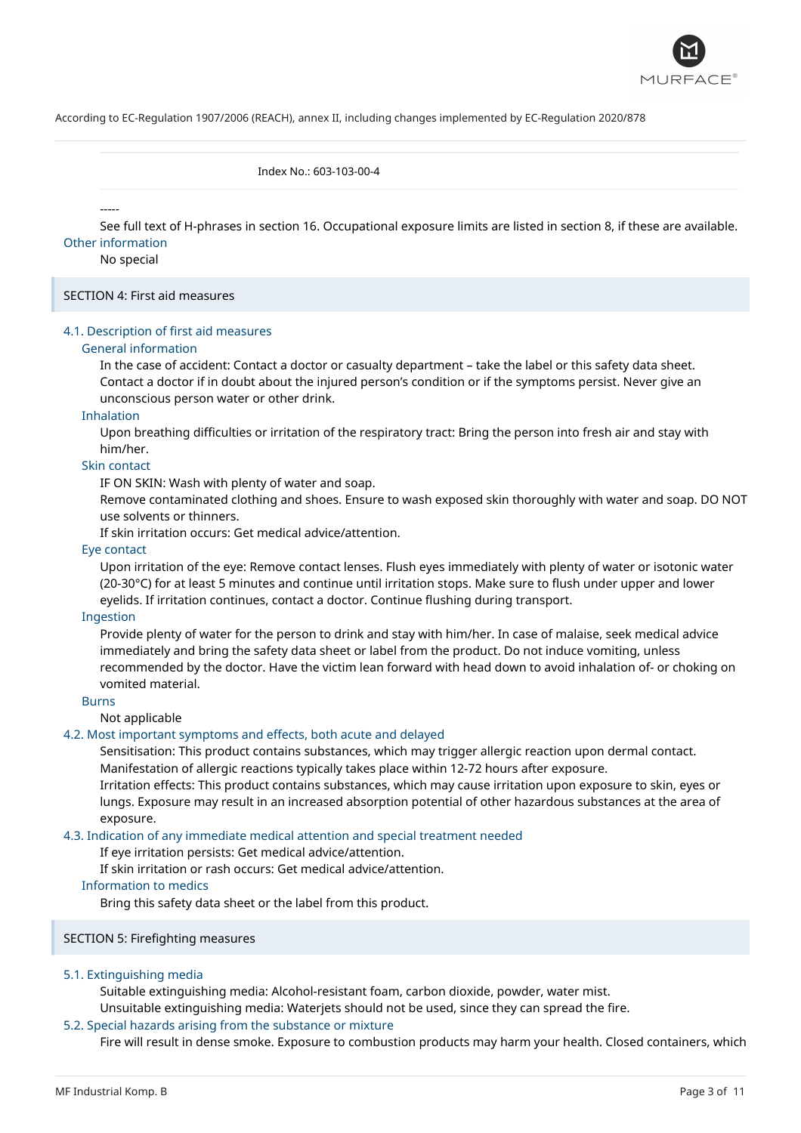

Index No.: 603-103-00-4

-----

See full text of H-phrases in section 16. Occupational exposure limits are listed in section 8, if these are available. Other information

#### No special

SECTION 4: First aid measures

### 4.1. Description of first aid measures

#### General information

In the case of accident: Contact a doctor or casualty department – take the label or this safety data sheet. Contact a doctor if in doubt about the injured person's condition or if the symptoms persist. Never give an unconscious person water or other drink.

#### Inhalation

Upon breathing difficulties or irritation of the respiratory tract: Bring the person into fresh air and stay with him/her.

## Skin contact

IF ON SKIN: Wash with plenty of water and soap.

Remove contaminated clothing and shoes. Ensure to wash exposed skin thoroughly with water and soap. DO NOT use solvents or thinners.

If skin irritation occurs: Get medical advice/attention.

#### Eye contact

Upon irritation of the eye: Remove contact lenses. Flush eyes immediately with plenty of water or isotonic water (20-30°C) for at least 5 minutes and continue until irritation stops. Make sure to flush under upper and lower eyelids. If irritation continues, contact a doctor. Continue flushing during transport.

#### Ingestion

Provide plenty of water for the person to drink and stay with him/her. In case of malaise, seek medical advice immediately and bring the safety data sheet or label from the product. Do not induce vomiting, unless recommended by the doctor. Have the victim lean forward with head down to avoid inhalation of- or choking on vomited material.

### Burns

Not applicable

#### 4.2. Most important symptoms and effects, both acute and delayed

Sensitisation: This product contains substances, which may trigger allergic reaction upon dermal contact. Manifestation of allergic reactions typically takes place within 12-72 hours after exposure.

Irritation effects: This product contains substances, which may cause irritation upon exposure to skin, eyes or lungs. Exposure may result in an increased absorption potential of other hazardous substances at the area of exposure.

### 4.3. Indication of any immediate medical attention and special treatment needed

If eye irritation persists: Get medical advice/attention.

If skin irritation or rash occurs: Get medical advice/attention.

#### Information to medics

Bring this safety data sheet or the label from this product.

SECTION 5: Firefighting measures

#### 5.1. Extinguishing media

Suitable extinguishing media: Alcohol-resistant foam, carbon dioxide, powder, water mist.

Unsuitable extinguishing media: Waterjets should not be used, since they can spread the fire.

### 5.2. Special hazards arising from the substance or mixture

Fire will result in dense smoke. Exposure to combustion products may harm your health. Closed containers, which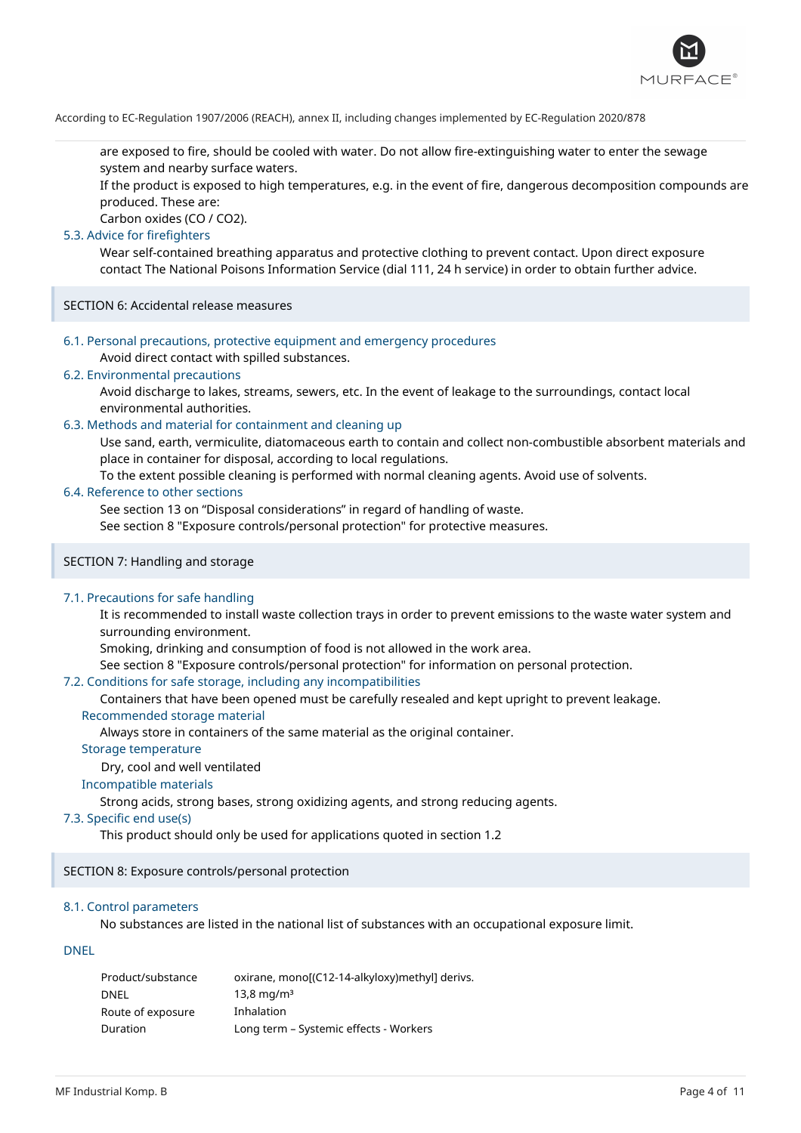

are exposed to fire, should be cooled with water. Do not allow fire-extinguishing water to enter the sewage system and nearby surface waters.

If the product is exposed to high temperatures, e.g. in the event of fire, dangerous decomposition compounds are produced. These are:

Carbon oxides (CO / CO2).

### 5.3. Advice for firefighters

Wear self-contained breathing apparatus and protective clothing to prevent contact. Upon direct exposure contact The National Poisons Information Service (dial 111, 24 h service) in order to obtain further advice.

SECTION 6: Accidental release measures

6.1. Personal precautions, protective equipment and emergency procedures

Avoid direct contact with spilled substances.

### 6.2. Environmental precautions

Avoid discharge to lakes, streams, sewers, etc. In the event of leakage to the surroundings, contact local environmental authorities.

#### 6.3. Methods and material for containment and cleaning up

Use sand, earth, vermiculite, diatomaceous earth to contain and collect non-combustible absorbent materials and place in container for disposal, according to local regulations.

To the extent possible cleaning is performed with normal cleaning agents. Avoid use of solvents.

### 6.4. Reference to other sections

See section 13 on "Disposal considerations" in regard of handling of waste.

See section 8 "Exposure controls/personal protection" for protective measures.

### SECTION 7: Handling and storage

### 7.1. Precautions for safe handling

It is recommended to install waste collection trays in order to prevent emissions to the waste water system and surrounding environment.

Smoking, drinking and consumption of food is not allowed in the work area.

See section 8 "Exposure controls/personal protection" for information on personal protection.

#### 7.2. Conditions for safe storage, including any incompatibilities

Containers that have been opened must be carefully resealed and kept upright to prevent leakage.

#### Recommended storage material

Always store in containers of the same material as the original container.

### Storage temperature

Dry, cool and well ventilated

### Incompatible materials

Strong acids, strong bases, strong oxidizing agents, and strong reducing agents.

#### 7.3. Specific end use(s)

This product should only be used for applications quoted in section 1.2

SECTION 8: Exposure controls/personal protection

### 8.1. Control parameters

No substances are listed in the national list of substances with an occupational exposure limit.

### DNEL

| Product/substance | oxirane, mono[(C12-14-alkyloxy)methyl] derivs. |
|-------------------|------------------------------------------------|
| <b>DNEL</b>       | $13.8 \,\mathrm{mg/m^3}$                       |
| Route of exposure | Inhalation                                     |
| <b>Duration</b>   | Long term - Systemic effects - Workers         |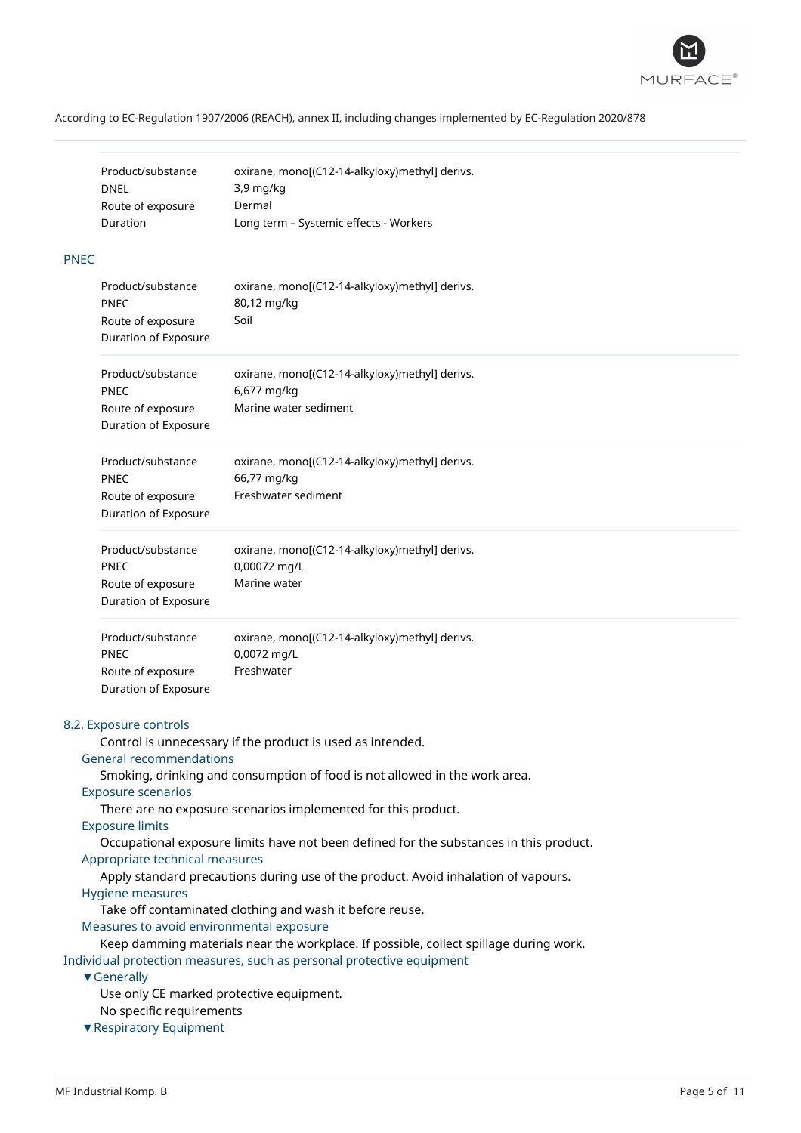

| Product/substance | oxirane, mono[(C12-14-alkyloxy)methyl] derivs. |
|-------------------|------------------------------------------------|
| DNEL              | $3.9 \text{ mg/kg}$                            |
| Route of exposure | Dermal                                         |
| Duration          | Long term - Systemic effects - Workers         |

### PNEC

| Product/substance<br>PNEC<br>Route of exposure<br>Duration of Exposure        | oxirane, mono[(C12-14-alkyloxy)methyl] derivs.<br>80,12 mg/kg<br>Soil                  |
|-------------------------------------------------------------------------------|----------------------------------------------------------------------------------------|
| Product/substance<br><b>PNEC</b><br>Route of exposure<br>Duration of Exposure | oxirane, mono[(C12-14-alkyloxy)methyl] derivs.<br>6,677 mg/kg<br>Marine water sediment |
| Product/substance<br><b>PNEC</b><br>Route of exposure<br>Duration of Exposure | oxirane, mono[(C12-14-alkyloxy)methyl] derivs.<br>66,77 mg/kg<br>Freshwater sediment   |
| Product/substance<br><b>PNEC</b><br>Route of exposure<br>Duration of Exposure | oxirane, mono[(C12-14-alkyloxy)methyl] derivs.<br>0,00072 mg/L<br>Marine water         |
| Product/substance<br><b>PNEC</b><br>Route of exposure<br>Duration of Exposure | oxirane, mono[(C12-14-alkyloxy)methyl] derivs.<br>0,0072 mg/L<br>Freshwater            |

#### 8.2. Exposure controls

Control is unnecessary if the product is used as intended.

## General recommendations

Smoking, drinking and consumption of food is not allowed in the work area.

#### Exposure scenarios

There are no exposure scenarios implemented for this product.

### Exposure limits

Occupational exposure limits have not been defined for the substances in this product. Appropriate technical measures

Apply standard precautions during use of the product. Avoid inhalation of vapours.

#### Hygiene measures

Take off contaminated clothing and wash it before reuse.

Measures to avoid environmental exposure

Keep damming materials near the workplace. If possible, collect spillage during work. Individual protection measures, such as personal protective equipment

### ▼Generally

Use only CE marked protective equipment.

No specific requirements

▼Respiratory Equipment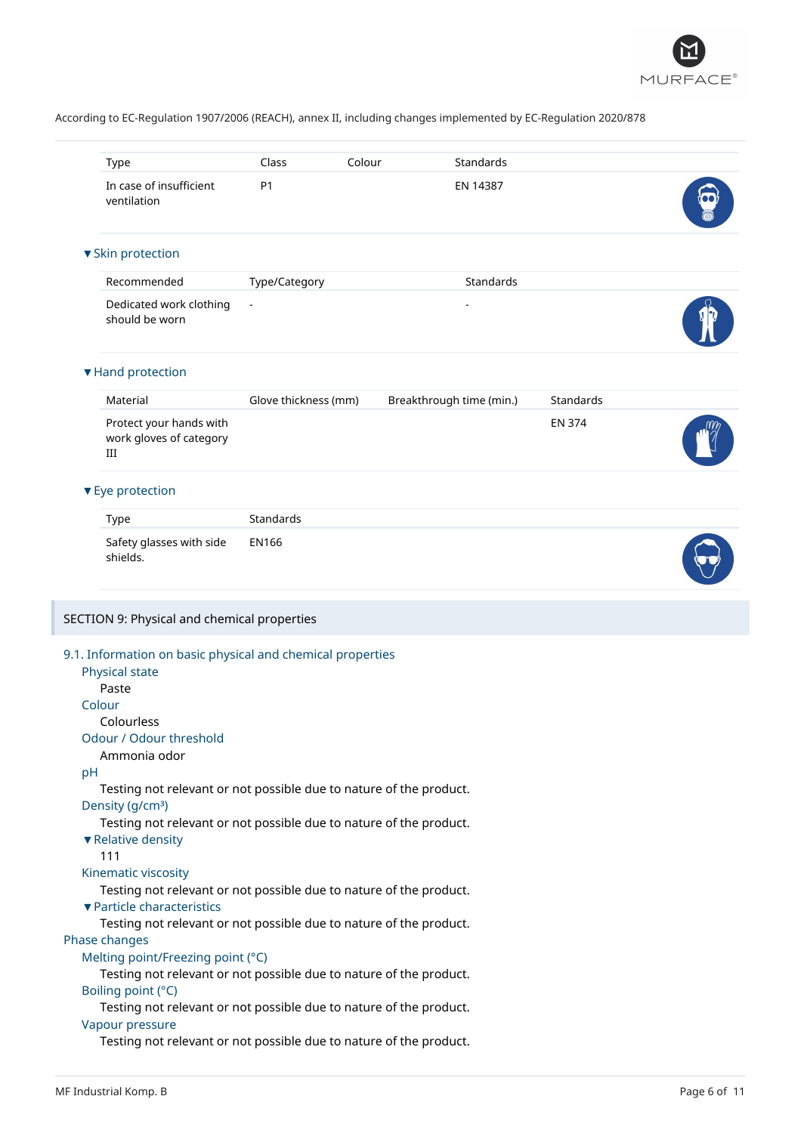

|    | Type                                                                                                                                                                                                                                                                                                                                                                                            | Class                | Colour | Standards                |               |  |
|----|-------------------------------------------------------------------------------------------------------------------------------------------------------------------------------------------------------------------------------------------------------------------------------------------------------------------------------------------------------------------------------------------------|----------------------|--------|--------------------------|---------------|--|
|    | In case of insufficient<br>ventilation                                                                                                                                                                                                                                                                                                                                                          | P <sub>1</sub>       |        | EN 14387                 |               |  |
|    | ▼ Skin protection                                                                                                                                                                                                                                                                                                                                                                               |                      |        |                          |               |  |
|    | Recommended                                                                                                                                                                                                                                                                                                                                                                                     | Type/Category        |        | Standards                |               |  |
|    | Dedicated work clothing<br>should be worn                                                                                                                                                                                                                                                                                                                                                       |                      |        |                          |               |  |
|    | ▼ Hand protection                                                                                                                                                                                                                                                                                                                                                                               |                      |        |                          |               |  |
|    | Material                                                                                                                                                                                                                                                                                                                                                                                        | Glove thickness (mm) |        | Breakthrough time (min.) | Standards     |  |
|    | Protect your hands with<br>work gloves of category<br>Ш                                                                                                                                                                                                                                                                                                                                         |                      |        |                          | <b>EN 374</b> |  |
|    | ▼ Eye protection                                                                                                                                                                                                                                                                                                                                                                                |                      |        |                          |               |  |
|    | Type                                                                                                                                                                                                                                                                                                                                                                                            | Standards            |        |                          |               |  |
|    | Safety glasses with side<br>shields.                                                                                                                                                                                                                                                                                                                                                            | <b>EN166</b>         |        |                          |               |  |
|    | SECTION 9: Physical and chemical properties                                                                                                                                                                                                                                                                                                                                                     |                      |        |                          |               |  |
| pH | 9.1. Information on basic physical and chemical properties<br><b>Physical state</b><br>Paste<br>Colour<br>Colourless<br>Odour / Odour threshold<br>Ammonia odor<br>Testing not relevant or not possible due to nature of the product.<br>Density (g/cm <sup>3</sup> )<br>Testing not relevant or not possible due to nature of the product.<br>▼ Relative density<br>111<br>Kinematic viscosity |                      |        |                          |               |  |
|    | Testing not relevant or not possible due to nature of the product.<br>▼ Particle characteristics                                                                                                                                                                                                                                                                                                |                      |        |                          |               |  |
|    | Testing not relevant or not possible due to nature of the product.<br>Phase changes                                                                                                                                                                                                                                                                                                             |                      |        |                          |               |  |
|    | Melting point/Freezing point (°C)<br>Testing not relevant or not possible due to nature of the product.                                                                                                                                                                                                                                                                                         |                      |        |                          |               |  |
|    | Boiling point (°C)<br>Testing not relevant or not possible due to nature of the product.<br>Vapour pressure                                                                                                                                                                                                                                                                                     |                      |        |                          |               |  |
|    | Testing not relevant or not possible due to nature of the product.                                                                                                                                                                                                                                                                                                                              |                      |        |                          |               |  |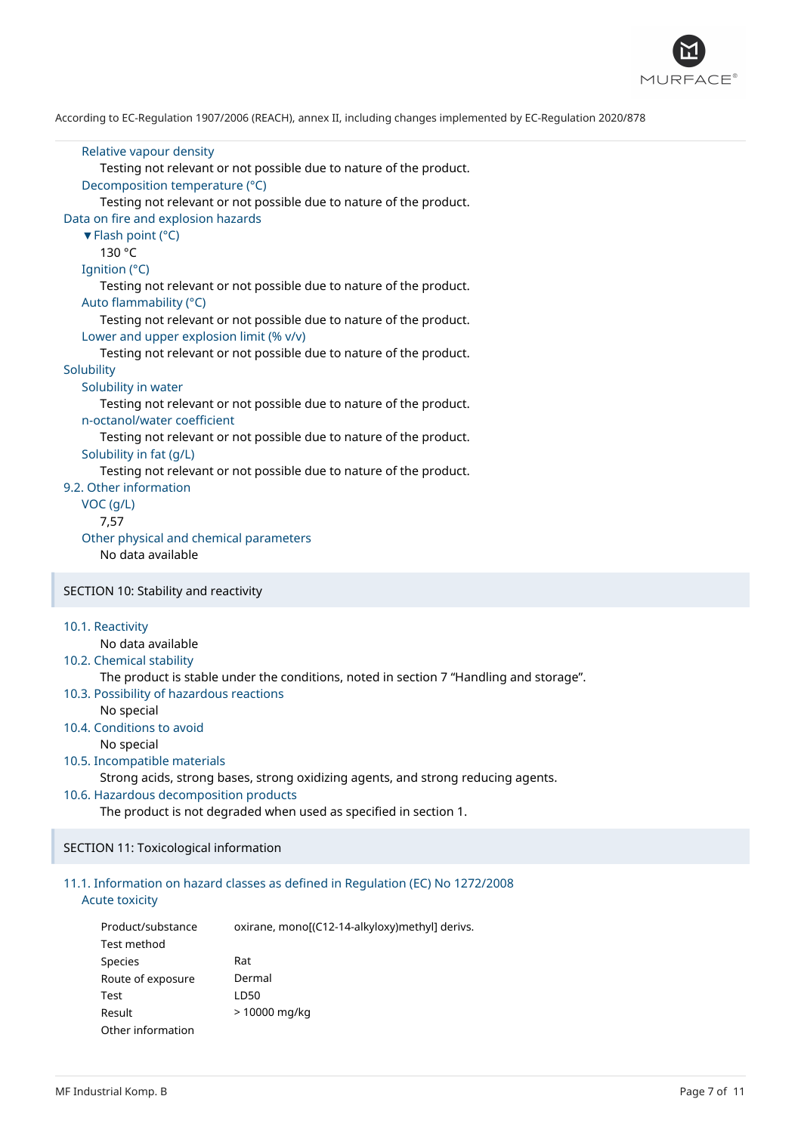![](_page_6_Picture_0.jpeg)

```
Relative vapour density
      Testing not relevant or not possible due to nature of the product.
   Decomposition temperature (°C)
      Testing not relevant or not possible due to nature of the product.
Data on fire and explosion hazards
   ▼Flash point (°C)
      130 °C
  Ignition (°C)
      Testing not relevant or not possible due to nature of the product.
  Auto flammability (°C)
      Testing not relevant or not possible due to nature of the product.
   Lower and upper explosion limit (% v/v)
      Testing not relevant or not possible due to nature of the product.
Solubility
   Solubility in water
      Testing not relevant or not possible due to nature of the product.
   n-octanol/water coefficient
      Testing not relevant or not possible due to nature of the product.
   Solubility in fat (g/L)
      Testing not relevant or not possible due to nature of the product.
9.2. Other information
  VOC (g/L)
      7,57
   Other physical and chemical parameters
      No data available
SECTION 10: Stability and reactivity
10.1. Reactivity
      No data available
10.2. Chemical stability
      The product is stable under the conditions, noted in section 7 "Handling and storage".
10.3. Possibility of hazardous reactions
      No special
10.4. Conditions to avoid
      No special
```
#### 10.5. Incompatible materials

Strong acids, strong bases, strong oxidizing agents, and strong reducing agents.

### 10.6. Hazardous decomposition products

The product is not degraded when used as specified in section 1.

#### SECTION 11: Toxicological information

### 11.1. Information on hazard classes as defined in Regulation (EC) No 1272/2008 Acute toxicity

| Product/substance | oxirane, mono[(C12-14-alkyloxy)methyl] derivs. |
|-------------------|------------------------------------------------|
| Test method       |                                                |
| Species           | Rat                                            |
| Route of exposure | Dermal                                         |
| Test              | LD50                                           |
| Result            | > 10000 mg/kg                                  |
| Other information |                                                |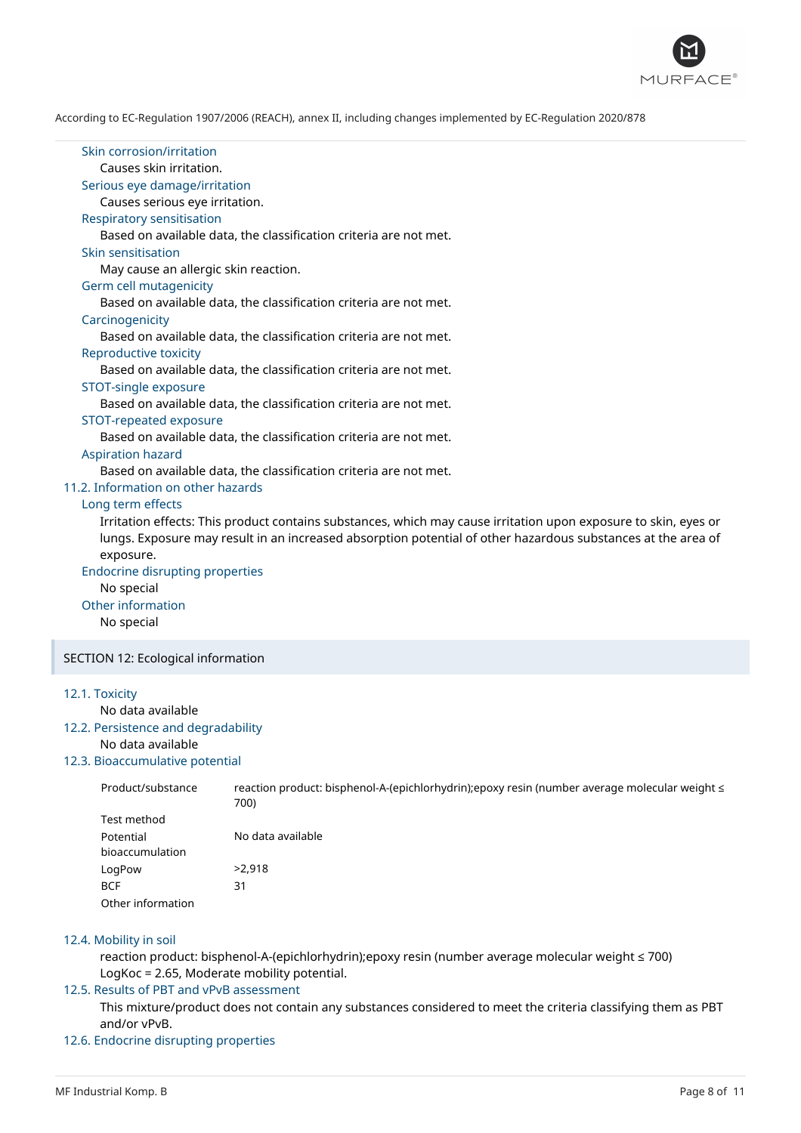![](_page_7_Picture_0.jpeg)

| Skin corrosion/irritation<br>Causes skin irritation.<br>Serious eye damage/irritation<br>Causes serious eye irritation.<br><b>Respiratory sensitisation</b><br>Based on available data, the classification criteria are not met.<br>Skin sensitisation<br>May cause an allergic skin reaction.<br>Germ cell mutagenicity<br>Based on available data, the classification criteria are not met.<br>Carcinogenicity<br>Based on available data, the classification criteria are not met.<br>Reproductive toxicity<br>Based on available data, the classification criteria are not met.<br>STOT-single exposure<br>Based on available data, the classification criteria are not met.<br>STOT-repeated exposure<br>Based on available data, the classification criteria are not met.<br><b>Aspiration hazard</b><br>Based on available data, the classification criteria are not met.<br>11.2. Information on other hazards<br>Long term effects<br>Irritation effects: This product contains substances, which may cause irritation upon exposure to skin, eyes or<br>lungs. Exposure may result in an increased absorption potential of other hazardous substances at the area of<br>exposure.<br><b>Endocrine disrupting properties</b><br>No special<br>Other information<br>No special |
|----------------------------------------------------------------------------------------------------------------------------------------------------------------------------------------------------------------------------------------------------------------------------------------------------------------------------------------------------------------------------------------------------------------------------------------------------------------------------------------------------------------------------------------------------------------------------------------------------------------------------------------------------------------------------------------------------------------------------------------------------------------------------------------------------------------------------------------------------------------------------------------------------------------------------------------------------------------------------------------------------------------------------------------------------------------------------------------------------------------------------------------------------------------------------------------------------------------------------------------------------------------------------------------|
| SECTION 12: Ecological information                                                                                                                                                                                                                                                                                                                                                                                                                                                                                                                                                                                                                                                                                                                                                                                                                                                                                                                                                                                                                                                                                                                                                                                                                                                     |
|                                                                                                                                                                                                                                                                                                                                                                                                                                                                                                                                                                                                                                                                                                                                                                                                                                                                                                                                                                                                                                                                                                                                                                                                                                                                                        |
| 12.1. Toxicity<br>No data available<br>12.2. Persistence and degradability<br>No data available                                                                                                                                                                                                                                                                                                                                                                                                                                                                                                                                                                                                                                                                                                                                                                                                                                                                                                                                                                                                                                                                                                                                                                                        |

# 12.3. Bioaccumulative potential

| Product/substance | reaction product: bisphenol-A-(epichlorhydrin);epoxy resin (number average molecular weight ≤<br>700) |
|-------------------|-------------------------------------------------------------------------------------------------------|
| Test method       |                                                                                                       |
| Potential         | No data available                                                                                     |
| bioaccumulation   |                                                                                                       |
| LogPow            | >2.918                                                                                                |
| <b>BCF</b>        | 31                                                                                                    |
| Other information |                                                                                                       |

#### 12.4. Mobility in soil

reaction product: bisphenol-A-(epichlorhydrin);epoxy resin (number average molecular weight ≤ 700) LogKoc = 2.65, Moderate mobility potential.

### 12.5. Results of PBT and vPvB assessment

This mixture/product does not contain any substances considered to meet the criteria classifying them as PBT and/or vPvB.

### 12.6. Endocrine disrupting properties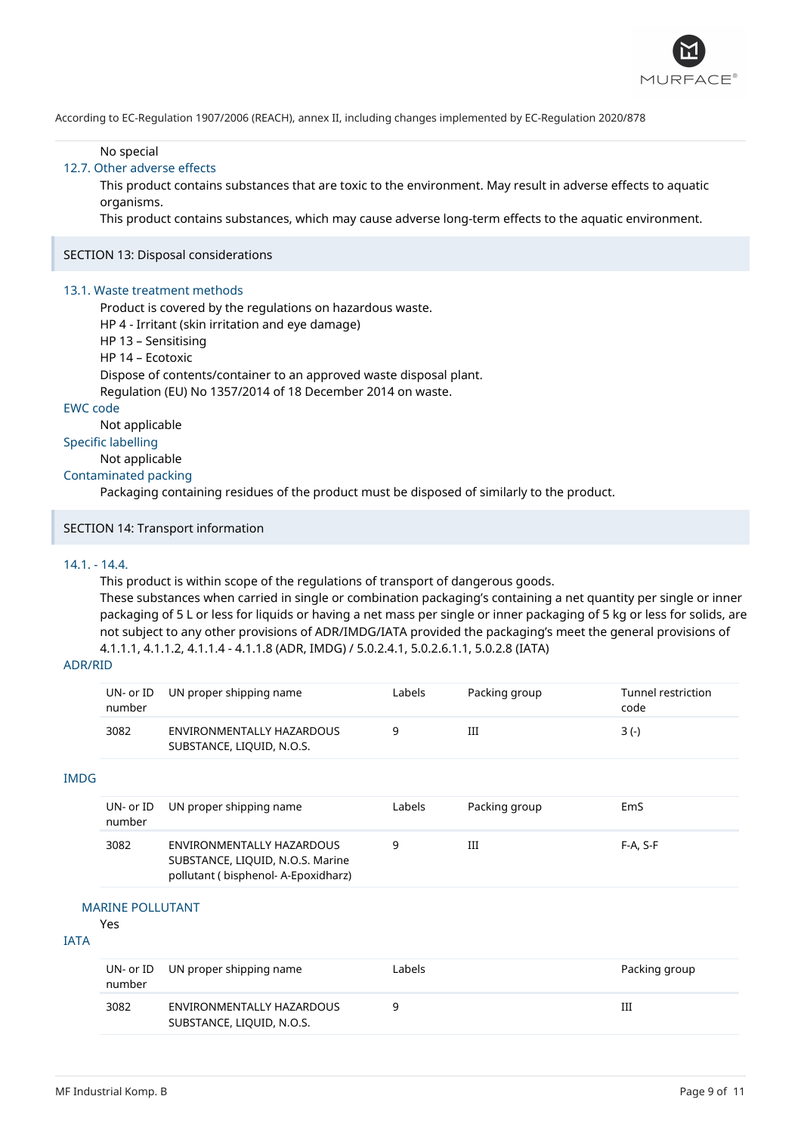![](_page_8_Picture_0.jpeg)

No special

### 12.7. Other adverse effects

This product contains substances that are toxic to the environment. May result in adverse effects to aquatic organisms.

This product contains substances, which may cause adverse long-term effects to the aquatic environment.

#### SECTION 13: Disposal considerations

#### 13.1. Waste treatment methods

Product is covered by the regulations on hazardous waste. HP 4 - Irritant (skin irritation and eye damage)

- HP 13 Sensitising
- HP 14 Ecotoxic
- 

Dispose of contents/container to an approved waste disposal plant.

Regulation (EU) No 1357/2014 of 18 December 2014 on waste.

# EWC code

Not applicable

# Specific labelling

Not applicable

#### Contaminated packing

Packaging containing residues of the product must be disposed of similarly to the product.

### SECTION 14: Transport information

### 14.1. - 14.4.

This product is within scope of the regulations of transport of dangerous goods. These substances when carried in single or combination packaging's containing a net quantity per single or inner packaging of 5 L or less for liquids or having a net mass per single or inner packaging of 5 kg or less for solids, are not subject to any other provisions of ADR/IMDG/IATA provided the packaging's meet the general provisions of 4.1.1.1, 4.1.1.2, 4.1.1.4 - 4.1.1.8 (ADR, IMDG) / 5.0.2.4.1, 5.0.2.6.1.1, 5.0.2.8 (IATA)

### ADR/RID

IMDG

| number | UN- or ID UN proper shipping name                      | Labels | Packing group | Tunnel restriction<br>code |
|--------|--------------------------------------------------------|--------|---------------|----------------------------|
| 3082   | ENVIRONMENTALLY HAZARDOUS<br>SUBSTANCE, LIQUID, N.O.S. |        | Ш             | $3(-)$                     |
|        |                                                        |        |               |                            |

#### UN- or ID number UN proper shipping name Labels Packing group EmS 3082 ENVIRONMENTALLY HAZARDOUS SUBSTANCE, LIQUID, N.O.S. Marine pollutant ( bisphenol- A-Epoxidharz) 9 III F-A, S-F

### MARINE POLLUTANT

# Yes

# IATA

| number | UN- or ID UN proper shipping name                      | Labels | Packing group |
|--------|--------------------------------------------------------|--------|---------------|
| 3082   | ENVIRONMENTALLY HAZARDOUS<br>SUBSTANCE, LIQUID, N.O.S. | a      | Ш             |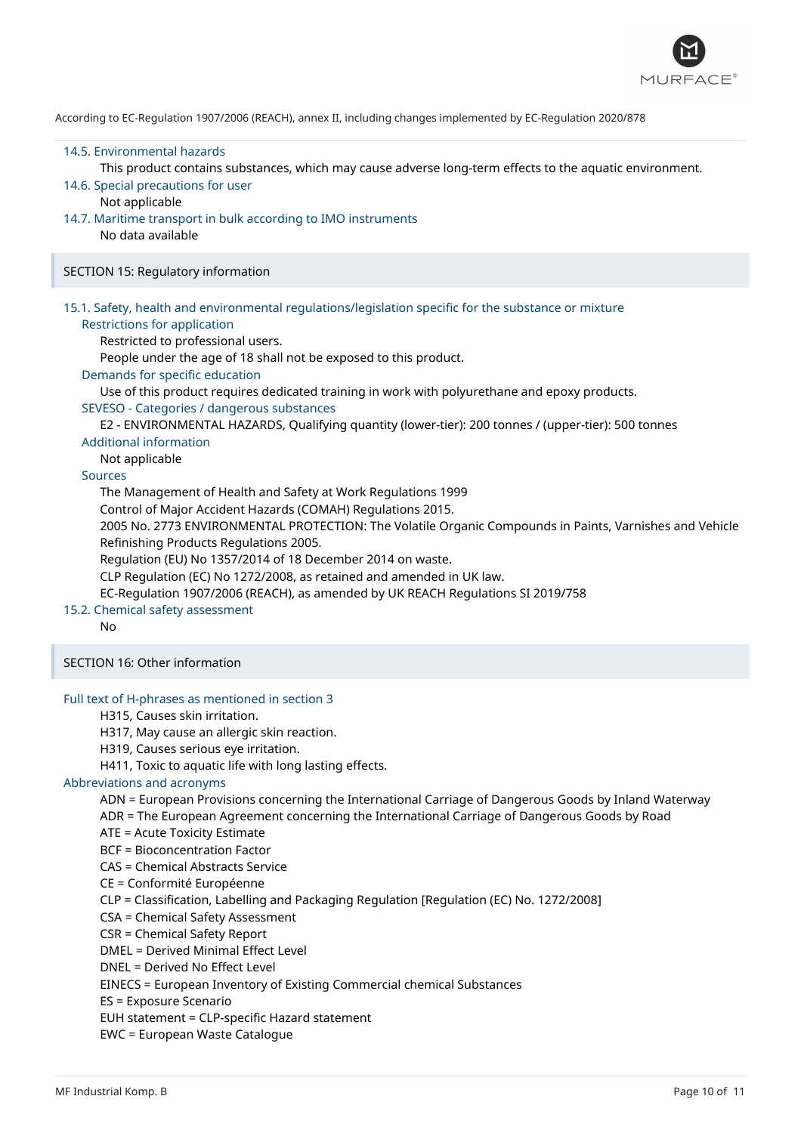![](_page_9_Picture_0.jpeg)

#### 14.5. Environmental hazards

This product contains substances, which may cause adverse long-term effects to the aquatic environment.

- 14.6. Special precautions for user
- Not applicable
- 14.7. Maritime transport in bulk according to IMO instruments
	- No data available

SECTION 15: Regulatory information

### 15.1. Safety, health and environmental regulations/legislation specific for the substance or mixture

#### Restrictions for application

Restricted to professional users.

People under the age of 18 shall not be exposed to this product.

Demands for specific education

Use of this product requires dedicated training in work with polyurethane and epoxy products.

### SEVESO - Categories / dangerous substances

E2 - ENVIRONMENTAL HAZARDS, Qualifying quantity (lower-tier): 200 tonnes / (upper-tier): 500 tonnes

#### Additional information

Not applicable

#### Sources

The Management of Health and Safety at Work Regulations 1999

Control of Major Accident Hazards (COMAH) Regulations 2015.

2005 No. 2773 ENVIRONMENTAL PROTECTION: The Volatile Organic Compounds in Paints, Varnishes and Vehicle Refinishing Products Regulations 2005.

Regulation (EU) No 1357/2014 of 18 December 2014 on waste.

CLP Regulation (EC) No 1272/2008, as retained and amended in UK law.

EC-Regulation 1907/2006 (REACH), as amended by UK REACH Regulations SI 2019/758

### 15.2. Chemical safety assessment

No

SECTION 16: Other information

### Full text of H-phrases as mentioned in section 3

- H315, Causes skin irritation.
- H317, May cause an allergic skin reaction.
- H319, Causes serious eye irritation.

H411, Toxic to aquatic life with long lasting effects.

#### Abbreviations and acronyms

ADN = European Provisions concerning the International Carriage of Dangerous Goods by Inland Waterway

ADR = The European Agreement concerning the International Carriage of Dangerous Goods by Road

- ATE = Acute Toxicity Estimate
- BCF = Bioconcentration Factor
- CAS = Chemical Abstracts Service

CE = Conformité Européenne

CLP = Classification, Labelling and Packaging Regulation [Regulation (EC) No. 1272/2008]

CSA = Chemical Safety Assessment

- CSR = Chemical Safety Report
- DMEL = Derived Minimal Effect Level
- DNEL = Derived No Effect Level
- EINECS = European Inventory of Existing Commercial chemical Substances
- ES = Exposure Scenario

EUH statement = CLP-specific Hazard statement

EWC = European Waste Catalogue